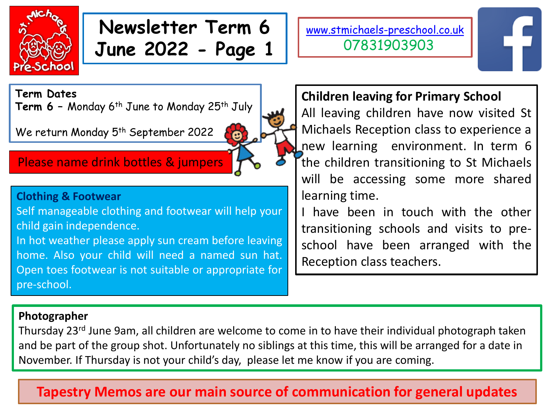

# **Newsletter Term 6 June 2022 - Page 1**

ø

[www.stmichaels-preschool.co.uk](http://www.stmichaels-preschool.co.uk/) 07831903903

**Term Dates**

**Term 6 –** Monday 6th June to Monday 25th July

We return Monday 5<sup>th</sup> September 2022

## Please name drink bottles & jumpers

#### **Clothing & Footwear**

Self manageable clothing and footwear will help your child gain independence.

In hot weather please apply sun cream before leaving home. Also your child will need a named sun hat. Open toes footwear is not suitable or appropriate for pre-school.

## **Children leaving for Primary School**

All leaving children have now visited St Michaels Reception class to experience a new learning environment. In term 6 the children transitioning to St Michaels will be accessing some more shared learning time.

I have been in touch with the other transitioning schools and visits to preschool have been arranged with the Reception class teachers.

#### **Photographer**

Thursday 23<sup>rd</sup> June 9am, all children are welcome to come in to have their individual photograph taken and be part of the group shot. Unfortunately no siblings at this time, this will be arranged for a date in November. If Thursday is not your child's day, please let me know if you are coming.

# **Tapestry Memos are our main source of communication for general updates**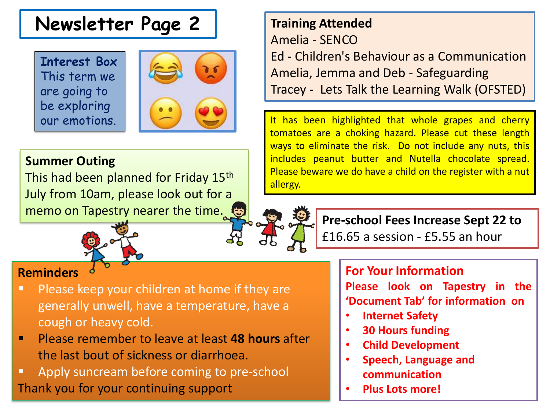# **Newsletter Page 2**

**Interest Box** This term we are going to be exploring our emotions.



## **Summer Outing**

This had been planned for Friday 15<sup>th</sup> July from 10am, please look out for a memo on Tapestry nearer the time.



## **Reminders**

- **Please keep your children at home if they are** generally unwell, have a temperature, have a cough or heavy cold.
- Please remember to leave at least **48 hours** after the last bout of sickness or diarrhoea.
- **Apply suncream before coming to pre-school** Thank you for your continuing support

# **Training Attended** Amelia - SENCO Ed - Children's Behaviour as a Communication Amelia, Jemma and Deb - Safeguarding Tracey - Lets Talk the Learning Walk (OFSTED)

It has been highlighted that whole grapes and cherry tomatoes are a choking hazard. Please cut these length ways to eliminate the risk. Do not include any nuts, this includes peanut butter and Nutella chocolate spread. Please beware we do have a child on the register with a nut allergy.

**Pre-school Fees Increase Sept 22 to** £16.65 a session - £5.55 an hour

### **For Your Information**

**Please look on Tapestry in the 'Document Tab' for information on**

- **Internet Safety**
- **30 Hours funding**
- **Child Development**
- **Speech, Language and communication**
- **Plus Lots more!**